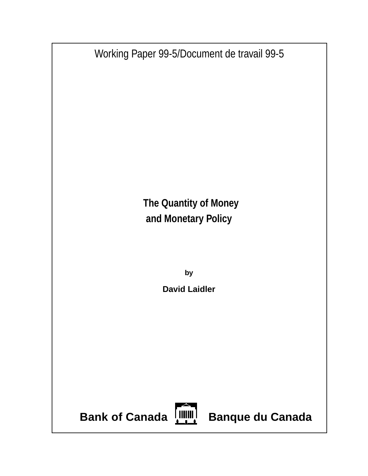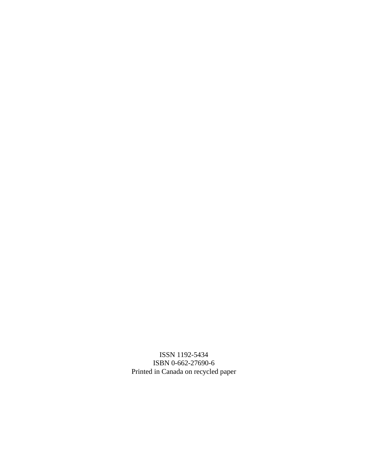ISSN 1192-5434 ISBN 0-662-27690-6 Printed in Canada on recycled paper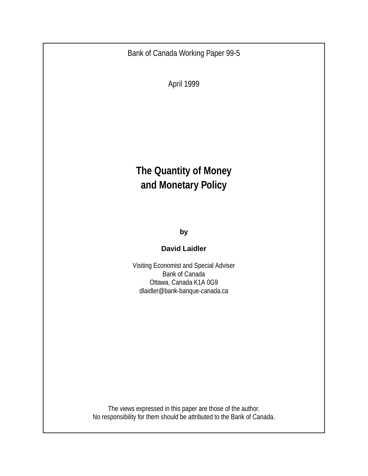Bank of Canada Working Paper 99-5

April 1999

# **The Quantity of Money and Monetary Policy**

**by**

#### **David Laidler**

Visiting Economist and Special Adviser Bank of Canada Ottawa, Canada K1A 0G9 dlaidler@bank-banque-canada.ca

The views expressed in this paper are those of the author. No responsibility for them should be attributed to the Bank of Canada.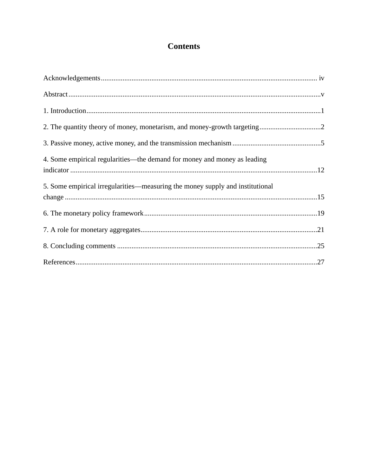## **Contents**

| 4. Some empirical regularities—the demand for money and money as leading      |  |
|-------------------------------------------------------------------------------|--|
| 5. Some empirical irregularities—measuring the money supply and institutional |  |
|                                                                               |  |
|                                                                               |  |
|                                                                               |  |
|                                                                               |  |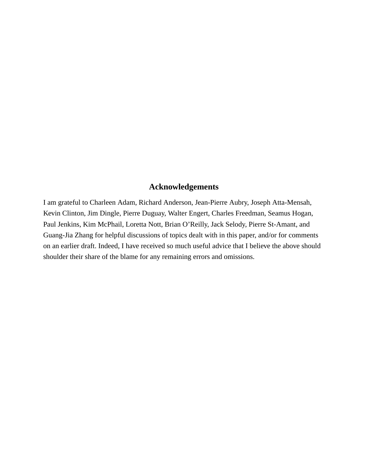#### **Acknowledgements**

I am grateful to Charleen Adam, Richard Anderson, Jean-Pierre Aubry, Joseph Atta-Mensah, Kevin Clinton, Jim Dingle, Pierre Duguay, Walter Engert, Charles Freedman, Seamus Hogan, Paul Jenkins, Kim McPhail, Loretta Nott, Brian O'Reilly, Jack Selody, Pierre St-Amant, and Guang-Jia Zhang for helpful discussions of topics dealt with in this paper, and/or for comments on an earlier draft. Indeed, I have received so much useful advice that I believe the above should shoulder their share of the blame for any remaining errors and omissions.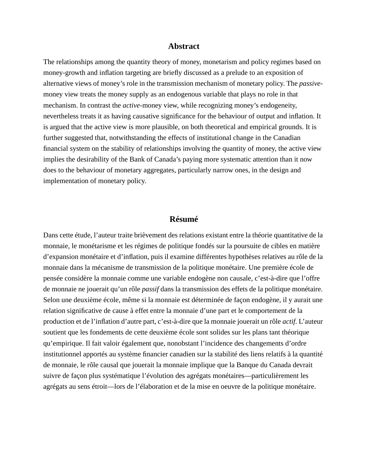#### **Abstract**

The relationships among the quantity theory of money, monetarism and policy regimes based on money-growth and inflation targeting are briefly discussed as a prelude to an exposition of alternative views of money's role in the transmission mechanism of monetary policy. The *passive*money view treats the money supply as an endogenous variable that plays no role in that mechanism. In contrast the *active-*money view, while recognizing money's endogeneity, nevertheless treats it as having causative significance for the behaviour of output and inflation. It is argued that the active view is more plausible, on both theoretical and empirical grounds. It is further suggested that, notwithstanding the effects of institutional change in the Canadian financial system on the stability of relationships involving the quantity of money, the active view implies the desirability of the Bank of Canada's paying more systematic attention than it now does to the behaviour of monetary aggregates, particularly narrow ones, in the design and implementation of monetary policy.

#### **Résumé**

Dans cette étude, l'auteur traite brièvement des relations existant entre la théorie quantitative de la monnaie, le monétarisme et les régimes de politique fondés sur la poursuite de cibles en matière d'expansion monétaire et d'inflation, puis il examine différentes hypothèses relatives au rôle de la monnaie dans la mécanisme de transmission de la politique monétaire. Une première école de pensée considère la monnaie comme une variable endogène non causale, c'est-à-dire que l'offre de monnaie ne jouerait qu'un rôle *passif* dans la transmission des effets de la politique monétaire. Selon une deuxième école, même si la monnaie est déterminée de façon endogène, il y aurait une relation significative de cause à effet entre la monnaie d'une part et le comportement de la production et de l'inflation d'autre part, c'est-à-dire que la monnaie jouerait un rôle *actif*. L'auteur soutient que les fondements de cette deuxième école sont solides sur les plans tant théorique qu'empirique. Il fait valoir également que, nonobstant l'incidence des changements d'ordre institutionnel apportés au système financier canadien sur la stabilité des liens relatifs à la quantité de monnaie, le rôle causal que jouerait la monnaie implique que la Banque du Canada devrait suivre de façon plus systématique l'évolution des agrégats monétaires—particulièrement les agrégats au sens étroit—lors de l'élaboration et de la mise en oeuvre de la politique monétaire.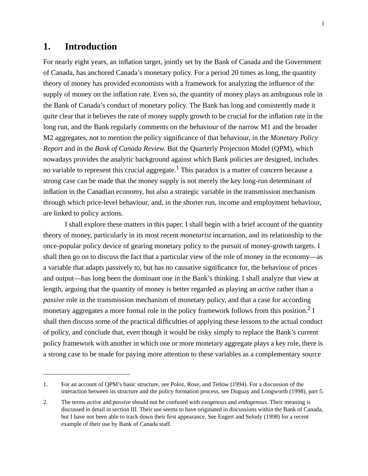#### **1. Introduction**

For nearly eight years, an inflation target, jointly set by the Bank of Canada and the Government of Canada, has anchored Canada's monetary policy. For a period 20 times as long, the quantity theory of money has provided economists with a framework for analyzing the influence of the supply of money on the inflation rate. Even so, the quantity of money plays an ambiguous role in the Bank of Canada's conduct of monetary policy. The Bank has long and consistently made it quite clear that it believes the rate of money supply growth to be crucial for the inflation rate in the long run, and the Bank regularly comments on the behaviour of the narrow M1 and the broader M2 aggregates, not to mention the policy significance of that behaviour, in the *Monetary Policy Report* and in the *Bank of Canada Review*. But the Quarterly Projection Model (QPM), which nowadays provides the analytic background against which Bank policies are designed, includes no variable to represent this crucial aggregate.<sup>1</sup> This paradox is a matter of concern because a strong case can be made that the money supply is not merely the key long-run determinant of inflation in the Canadian economy, but also a strategic variable in the transmission mechanism through which price-level behaviour, and, in the shorter run, income and employment behaviour, are linked to policy actions.

I shall explore these matters in this paper. I shall begin with a brief account of the quantity theory of money, particularly in its most recent *monetarist* incarnation, and its relationship to the once-popular policy device of gearing monetary policy to the pursuit of money-growth targets. I shall then go on to discuss the fact that a particular view of the role of money in the economy—as a variable that adapts passively to, but has no causative significance for, the behaviour of prices and output—has long been the dominant one in the Bank's thinking. I shall analyze that view at length, arguing that the quantity of money is better regarded as playing an *active* rather than a *passive* role in the transmission mechanism of monetary policy, and that a case for according monetary aggregates a more formal role in the policy framework follows from this position.<sup>2</sup> I shall then discuss some of the practical difficulties of applying these lessons to the actual conduct of policy, and conclude that, even though it would be risky simply to replace the Bank's current policy framework with another in which one or more monetary aggregate plays a key role, there is a strong case to be made for paying more attention to these variables as a complementary source

<sup>1.</sup> For an account of QPM's basic structure, see Poloz, Rose, and Tetlow (1994). For a discussion of the interaction between its structure and the policy formation process, see Duguay and Longworth (1998), part 5.

<sup>2.</sup> The terms *active* and *passive* should not be confused with *exogenous* and *endogenous*. Their meaning is discussed in detail in section III. Their use seems to have originated in discussions within the Bank of Canada, but I have not been able to track down their first appearance. See Engert and Selody (1998) for a recent example of their use by Bank of Canada staff.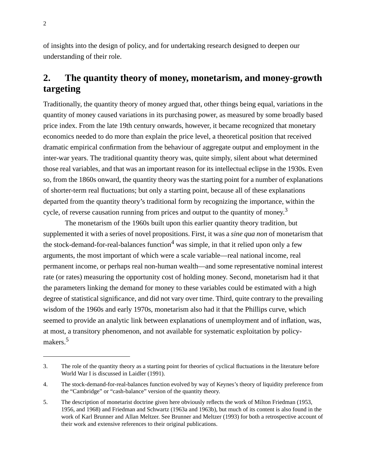of insights into the design of policy, and for undertaking research designed to deepen our understanding of their role.

# **2. The quantity theory of money, monetarism, and money-growth targeting**

Traditionally, the quantity theory of money argued that, other things being equal, variations in the quantity of money caused variations in its purchasing power, as measured by some broadly based price index. From the late 19th century onwards, however, it became recognized that monetary economics needed to do more than explain the price level, a theoretical position that received dramatic empirical confirmation from the behaviour of aggregate output and employment in the inter-war years. The traditional quantity theory was, quite simply, silent about what determined those real variables, and that was an important reason for its intellectual eclipse in the 1930s. Even so, from the 1860s onward, the quantity theory was the starting point for a number of explanations of shorter-term real fluctuations; but only a starting point, because all of these explanations departed from the quantity theory's traditional form by recognizing the importance, within the cycle, of reverse causation running from prices and output to the quantity of money.<sup>3</sup>

The monetarism of the 1960s built upon this earlier quantity theory tradition, but supplemented it with a series of novel propositions. First, it was a *sine qua non* of monetarism that the stock-demand-for-real-balances function<sup>4</sup> was simple, in that it relied upon only a few arguments, the most important of which were a scale variable—real national income, real permanent income, or perhaps real non-human wealth—and some representative nominal interest rate (or rates) measuring the opportunity cost of holding money. Second, monetarism had it that the parameters linking the demand for money to these variables could be estimated with a high degree of statistical significance, and did not vary over time. Third, quite contrary to the prevailing wisdom of the 1960s and early 1970s, monetarism also had it that the Phillips curve, which seemed to provide an analytic link between explanations of unemployment and of inflation, was, at most, a transitory phenomenon, and not available for systematic exploitation by policymakers.<sup>5</sup>

<sup>3.</sup> The role of the quantity theory as a starting point for theories of cyclical fluctuations in the literature before World War I is discussed in Laidler (1991).

<sup>4.</sup> The stock-demand-for-real-balances function evolved by way of Keynes's theory of liquidity preference from the "Cambridge" or "cash-balance" version of the quantity theory.

<sup>5.</sup> The description of monetarist doctrine given here obviously reflects the work of Milton Friedman (1953, 1956, and 1968) and Friedman and Schwartz (1963a and 1963b), but much of its content is also found in the work of Karl Brunner and Allan Meltzer. See Brunner and Meltzer (1993) for both a retrospective account of their work and extensive references to their original publications.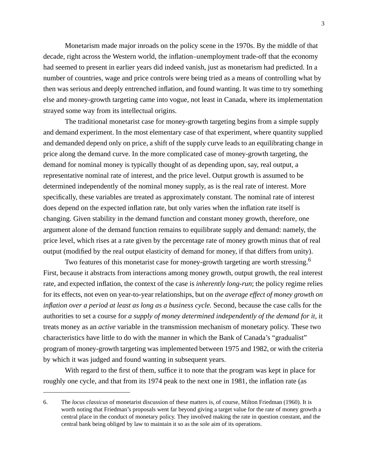Monetarism made major inroads on the policy scene in the 1970s. By the middle of that decade, right across the Western world, the inflation–unemployment trade-off that the economy had seemed to present in earlier years did indeed vanish, just as monetarism had predicted. In a number of countries, wage and price controls were being tried as a means of controlling what by then was serious and deeply entrenched inflation, and found wanting. It was time to try something else and money-growth targeting came into vogue, not least in Canada, where its implementation strayed some way from its intellectual origins.

The traditional monetarist case for money-growth targeting begins from a simple supply and demand experiment. In the most elementary case of that experiment, where quantity supplied and demanded depend only on price, a shift of the supply curve leads to an equilibrating change in price along the demand curve. In the more complicated case of money-growth targeting, the demand for nominal money is typically thought of as depending upon, say, real output, a representative nominal rate of interest, and the price level. Output growth is assumed to be determined independently of the nominal money supply, as is the real rate of interest. More specifically, these variables are treated as approximately constant. The nominal rate of interest does depend on the expected inflation rate, but only varies when the inflation rate itself is changing. Given stability in the demand function and constant money growth, therefore, one argument alone of the demand function remains to equilibrate supply and demand: namely, the price level, which rises at a rate given by the percentage rate of money growth minus that of real output (modified by the real output elasticity of demand for money, if that differs from unity).

Two features of this monetarist case for money-growth targeting are worth stressing.<sup>6</sup> First, because it abstracts from interactions among money growth, output growth, the real interest rate, and expected inflation, the context of the case is *inherently long-run*; the policy regime relies for its effects, not even on year-to-year relationships, but on *the average effect of money growth on inflation over a period at least as long as a business cycle.* Second, because the case calls for the authorities to set a course for *a supply of money determined independently of the demand for it,* it treats money as an *active* variable in the transmission mechanism of monetary policy*.* These two characteristics have little to do with the manner in which the Bank of Canada's "gradualist" program of money-growth targeting was implemented between 1975 and 1982, or with the criteria by which it was judged and found wanting in subsequent years.

With regard to the first of them, suffice it to note that the program was kept in place for roughly one cycle, and that from its 1974 peak to the next one in 1981, the inflation rate (as

<sup>6.</sup> The *locus classicus* of monetarist discussion of these matters is, of course, Milton Friedman (1960). It is worth noting that Friedman's proposals went far beyond giving a target value for the rate of money growth a central place in the conduct of monetary policy. They involved making the rate in question constant, and the central bank being obliged by law to maintain it so as the sole aim of its operations.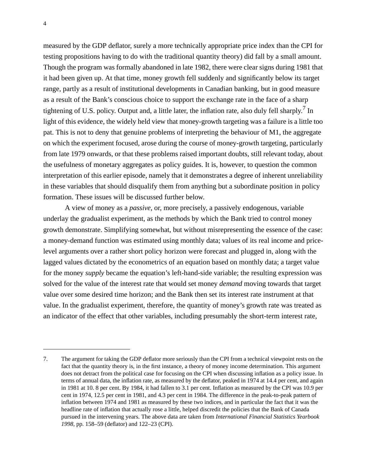measured by the GDP deflator, surely a more technically appropriate price index than the CPI for testing propositions having to do with the traditional quantity theory) did fall by a small amount. Though the program was formally abandoned in late 1982, there were clear signs during 1981 that it had been given up. At that time, money growth fell suddenly and significantly below its target range, partly as a result of institutional developments in Canadian banking, but in good measure as a result of the Bank's conscious choice to support the exchange rate in the face of a sharp tightening of U.S. policy. Output and, a little later, the inflation rate, also duly fell sharply.<sup>7</sup> In light of this evidence, the widely held view that money-growth targeting was a failure is a little too pat. This is not to deny that genuine problems of interpreting the behaviour of M1, the aggregate on which the experiment focused, arose during the course of money-growth targeting, particularly from late 1979 onwards, or that these problems raised important doubts, still relevant today, about the usefulness of monetary aggregates as policy guides. It is, however, to question the common interpretation of this earlier episode, namely that it demonstrates a degree of inherent unreliability in these variables that should disqualify them from anything but a subordinate position in policy formation. These issues will be discussed further below.

A view of money as a *passive,* or, more precisely, a passively endogenous, variable underlay the gradualist experiment, as the methods by which the Bank tried to control money growth demonstrate. Simplifying somewhat, but without misrepresenting the essence of the case: a money-demand function was estimated using monthly data; values of its real income and pricelevel arguments over a rather short policy horizon were forecast and plugged in, along with the lagged values dictated by the econometrics of an equation based on monthly data; a target value for the money *supply* became the equation's left-hand-side variable; the resulting expression was solved for the value of the interest rate that would set money *demand* moving towards that target value over some desired time horizon; and the Bank then set its interest rate instrument at that value. In the gradualist experiment, therefore, the quantity of money's growth rate was treated as an indicator of the effect that other variables, including presumably the short-term interest rate,

<sup>7.</sup> The argument for taking the GDP deflator more seriously than the CPI from a technical viewpoint rests on the fact that the quantity theory is, in the first instance, a theory of money income determination. This argument does not detract from the political case for focusing on the CPI when discussing inflation as a policy issue. In terms of annual data, the inflation rate, as measured by the deflator, peaked in 1974 at 14.4 per cent, and again in 1981 at 10. 8 per cent. By 1984, it had fallen to 3.1 per cent. Inflation as measured by the CPI was 10.9 per cent in 1974, 12.5 per cent in 1981, and 4.3 per cent in 1984. The difference in the peak-to-peak pattern of inflation between 1974 and 1981 as measured by these two indices, and in particular the fact that it was the headline rate of inflation that actually rose a little, helped discredit the policies that the Bank of Canada pursued in the intervening years. The above data are taken from *International Financial Statistics Yearbook 1998,* pp. 158–59 (deflator) and 122–23 (CPI).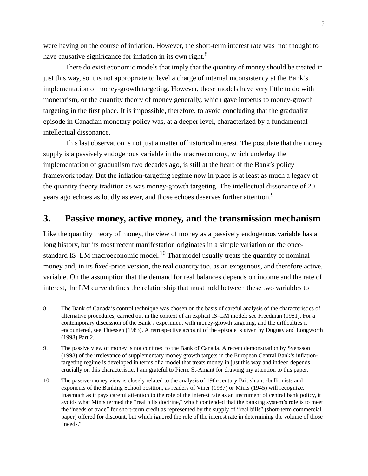were having on the course of inflation. However, the short-term interest rate was not thought to have causative significance for inflation in its own right.<sup>8</sup>

There do exist economic models that imply that the quantity of money should be treated in just this way, so it is not appropriate to level a charge of internal inconsistency at the Bank's implementation of money-growth targeting. However, those models have very little to do with monetarism, or the quantity theory of money generally, which gave impetus to money-growth targeting in the first place. It is impossible, therefore, to avoid concluding that the gradualist episode in Canadian monetary policy was, at a deeper level, characterized by a fundamental intellectual dissonance.

This last observation is not just a matter of historical interest. The postulate that the money supply is a passively endogenous variable in the macroeconomy, which underlay the implementation of gradualism two decades ago, is still at the heart of the Bank's policy framework today. But the inflation-targeting regime now in place is at least as much a legacy of the quantity theory tradition as was money-growth targeting. The intellectual dissonance of 20 years ago echoes as loudly as ever, and those echoes deserves further attention.<sup>9</sup>

### **3. Passive money, active money, and the transmission mechanism**

Like the quantity theory of money, the view of money as a passively endogenous variable has a long history, but its most recent manifestation originates in a simple variation on the oncestandard IS–LM macroeconomic model.<sup>10</sup> That model usually treats the quantity of nominal money and, in its fixed-price version, the real quantity too, as an exogenous, and therefore active, variable. On the assumption that the demand for real balances depends on income and the rate of interest, the LM curve defines the relationship that must hold between these two variables to

<sup>8.</sup> The Bank of Canada's control technique was chosen on the basis of careful analysis of the characteristics of alternative procedures, carried out in the context of an explicit IS–LM model; see Freedman (1981). For a contemporary discussion of the Bank's experiment with money-growth targeting, and the difficulties it encountered, see Thiessen (1983). A retrospective account of the episode is given by Duguay and Longworth (1998) Part 2.

<sup>9.</sup> The passive view of money is not confined to the Bank of Canada. A recent demonstration by Svensson (1998) of the irrelevance of supplementary money growth targets in the European Central Bank's inflationtargeting regime is developed in terms of a model that treats money in just this way and indeed depends crucially on this characteristic. I am grateful to Pierre St-Amant for drawing my attention to this paper.

<sup>10.</sup> The passive-money view is closely related to the analysis of 19th-century British anti-bullionists and exponents of the Banking School position, as readers of Viner (1937) or Mints (1945) will recognize. Inasmuch as it pays careful attention to the role of the interest rate as an instrument of central bank policy, it avoids what Mints termed the "real bills doctrine," which contended that the banking system's role is to meet the "needs of trade" for short-term credit as represented by the supply of "real bills" (short-term commercial paper) offered for discount, but which ignored the role of the interest rate in determining the volume of those "needs."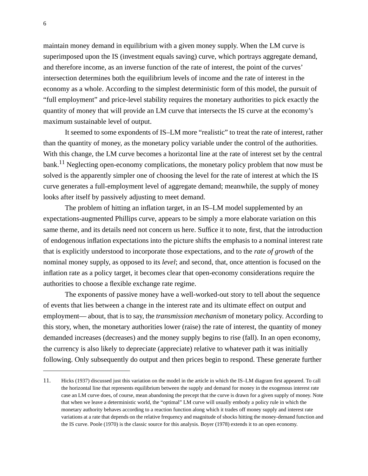maintain money demand in equilibrium with a given money supply. When the LM curve is superimposed upon the IS (investment equals saving) curve, which portrays aggregate demand, and therefore income, as an inverse function of the rate of interest, the point of the curves' intersection determines both the equilibrium levels of income and the rate of interest in the economy as a whole. According to the simplest deterministic form of this model, the pursuit of "full employment" and price-level stability requires the monetary authorities to pick exactly the quantity of money that will provide an LM curve that intersects the IS curve at the economy's maximum sustainable level of output.

It seemed to some expondents of IS–LM more "realistic" to treat the rate of interest, rather than the quantity of money, as the monetary policy variable under the control of the authorities. With this change, the LM curve becomes a horizontal line at the rate of interest set by the central bank.<sup>11</sup> Neglecting open-economy complications, the monetary policy problem that now must be solved is the apparently simpler one of choosing the level for the rate of interest at which the IS curve generates a full-employment level of aggregate demand; meanwhile, the supply of money looks after itself by passively adjusting to meet demand.

The problem of hitting an inflation target, in an IS–LM model supplemented by an expectations-augmented Phillips curve, appears to be simply a more elaborate variation on this same theme, and its details need not concern us here. Suffice it to note, first, that the introduction of endogenous inflation expectations into the picture shifts the emphasis to a nominal interest rate that is explicitly understood to incorporate those expectations, and to the *rate of growth* of the nominal money supply, as opposed to its *level*; and second, that, once attention is focused on the inflation rate as a policy target, it becomes clear that open-economy considerations require the authorities to choose a flexible exchange rate regime.

The exponents of passive money have a well-worked-out story to tell about the sequence of events that lies between a change in the interest rate and its ultimate effect on output and employment— about, that is to say, the *transmission mechanism* of monetary policy. According to this story, when, the monetary authorities lower (raise) the rate of interest, the quantity of money demanded increases (decreases) and the money supply begins to rise (fall). In an open economy, the currency is also likely to depreciate (appreciate) relative to whatever path it was initially following. Only subsequently do output and then prices begin to respond. These generate further

<sup>11.</sup> Hicks (1937) discussed just this variation on the model in the article in which the IS–LM diagram first appeared. To call the horizontal line that represents equilibrium between the supply and demand for money in the exogenous interest rate case an LM curve does, of course, mean abandoning the precept that the curve is drawn for a given supply of money. Note that when we leave a deterministic world, the "optimal" LM curve will usually embody a policy rule in which the monetary authority behaves according to a reaction function along which it trades off money supply and interest rate variations at a rate that depends on the relative frequency and magnitude of shocks hitting the money-demand function and the IS curve. Poole (1970) is the classic source for this analysis. Boyer (1978) extends it to an open economy.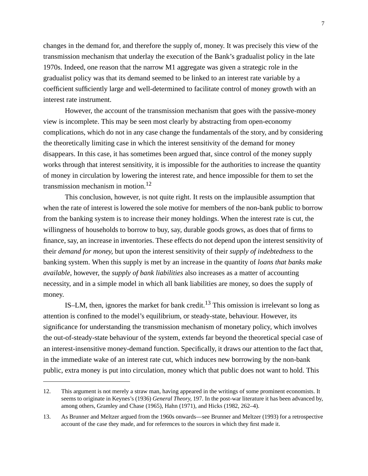changes in the demand for, and therefore the supply of, money. It was precisely this view of the transmission mechanism that underlay the execution of the Bank's gradualist policy in the late 1970s. Indeed, one reason that the narrow M1 aggregate was given a strategic role in the gradualist policy was that its demand seemed to be linked to an interest rate variable by a coefficient sufficiently large and well-determined to facilitate control of money growth with an interest rate instrument.

However, the account of the transmission mechanism that goes with the passive-money view is incomplete. This may be seen most clearly by abstracting from open-economy complications, which do not in any case change the fundamentals of the story, and by considering the theoretically limiting case in which the interest sensitivity of the demand for money disappears. In this case, it has sometimes been argued that, since control of the money supply works through that interest sensitivity, it is impossible for the authorities to increase the quantity of money in circulation by lowering the interest rate, and hence impossible for them to set the transmission mechanism in motion.<sup>12</sup>

This conclusion, however, is not quite right. It rests on the implausible assumption that when the rate of interest is lowered the sole motive for members of the non-bank public to borrow from the banking system is to increase their money holdings. When the interest rate is cut, the willingness of households to borrow to buy, say, durable goods grows, as does that of firms to finance, say, an increase in inventories. These effects do not depend upon the interest sensitivity of their *demand for money*, but upon the interest sensitivity of their *supply of indebtedness* to the banking system. When this supply is met by an increase in the quantity of *loans that banks make available*, however, the *supply of bank liabilities* also increases as a matter of accounting necessity, and in a simple model in which all bank liabilities are money, so does the supply of money.

IS–LM, then, ignores the market for bank credit.<sup>13</sup> This omission is irrelevant so long as attention is confined to the model's equilibrium, or steady-state, behaviour. However, its significance for understanding the transmission mechanism of monetary policy, which involves the out-of-steady-state behaviour of the system, extends far beyond the theoretical special case of an interest-insensitive money-demand function. Specifically, it draws our attention to the fact that, in the immediate wake of an interest rate cut, which induces new borrowing by the non-bank public, extra money is put into circulation, money which that public does not want to hold. This

<sup>12.</sup> This argument is not merely a straw man, having appeared in the writings of some prominent economists. It seems to originate in Keynes's (1936) *General Theory*, 197. In the post-war literature it has been advanced by, among others, Gramley and Chase (1965), Hahn (1971), and Hicks (1982, 262–4).

<sup>13.</sup> As Brunner and Meltzer argued from the 1960s onwards—see Brunner and Meltzer (1993) for a retrospective account of the case they made, and for references to the sources in which they first made it.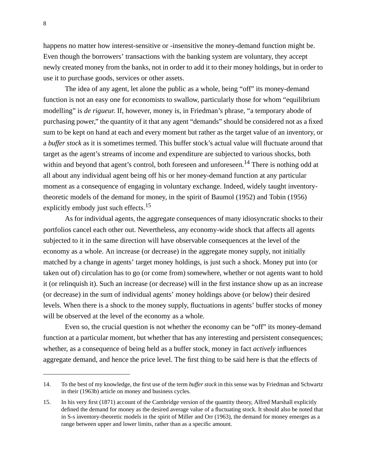happens no matter how interest-sensitive or -insensitive the money-demand function might be. Even though the borrowers' transactions with the banking system are voluntary, they accept newly created money from the banks, not in order to add it to their money holdings, but in order to use it to purchase goods, services or other assets.

The idea of any agent, let alone the public as a whole, being "off" its money-demand function is not an easy one for economists to swallow, particularly those for whom "equilibrium modelling" is *de rigueur.* If, however, money is, in Friedman's phrase, "a temporary abode of purchasing power," the quantity of it that any agent "demands" should be considered not as a fixed sum to be kept on hand at each and every moment but rather as the target value of an inventory, or a *buffer stock* as it is sometimes termed*.* This buffer stock's actual value will fluctuate around that target as the agent's streams of income and expenditure are subjected to various shocks, both within and beyond that agent's control, both foreseen and unforeseen.<sup>14</sup> There is nothing odd at all about any individual agent being off his or her money-demand function at any particular moment as a consequence of engaging in voluntary exchange. Indeed, widely taught inventorytheoretic models of the demand for money, in the spirit of Baumol (1952) and Tobin (1956) explicitly embody just such effects.<sup>15</sup>

As for individual agents, the aggregate consequences of many idiosyncratic shocks to their portfolios cancel each other out. Nevertheless, any economy-wide shock that affects all agents subjected to it in the same direction will have observable consequences at the level of the economy as a whole. An increase (or decrease) in the aggregate money supply, not initially matched by a change in agents' target money holdings, is just such a shock. Money put into (or taken out of) circulation has to go (or come from) somewhere, whether or not agents want to hold it (or relinquish it). Such an increase (or decrease) will in the first instance show up as an increase (or decrease) in the sum of individual agents' money holdings above (or below) their desired levels. When there is a shock to the money supply, fluctuations in agents' buffer stocks of money will be observed at the level of the economy as a whole.

Even so, the crucial question is not whether the economy can be "off" its money-demand function at a particular moment, but whether that has any interesting and persistent consequences; whether, as a consequence of being held as a buffer stock, money in fact *actively* influences aggregate demand, and hence the price level. The first thing to be said here is that the effects of

<sup>14.</sup> To the best of my knowledge, the first use of the term *buffer stock* in this sense was by Friedman and Schwartz in their (1963b) article on money and business cycles.

<sup>15.</sup> In his very first (1871) account of the Cambridge version of the quantity theory, Alfred Marshall explicitly defined the demand for money as the desired average value of a fluctuating stock. It should also be noted that in S-s inventory-theoretic models in the spirit of Miller and Orr (1963), the demand for money emerges as a range between upper and lower limits, rather than as a specific amount.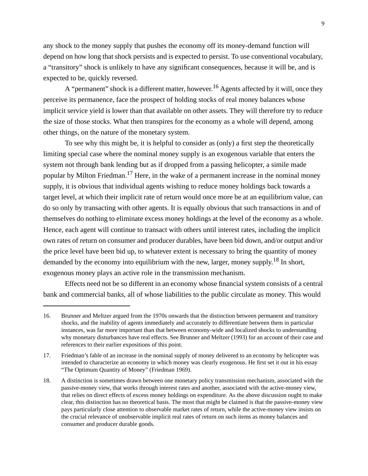any shock to the money supply that pushes the economy off its money-demand function will depend on how long that shock persists and is expected to persist. To use conventional vocabulary, a "transitory" shock is unlikely to have any significant consequences, because it will be, and is expected to be, quickly reversed.

A "permanent" shock is a different matter, however.<sup>16</sup> Agents affected by it will, once they perceive its permanence, face the prospect of holding stocks of real money balances whose implicit service yield is lower than that available on other assets. They will therefore try to reduce the size of those stocks. What then transpires for the economy as a whole will depend, among other things, on the nature of the monetary system.

To see why this might be, it is helpful to consider as (only) a first step the theoretically limiting special case where the nominal money supply is an exogenous variable that enters the system not through bank lending but as if dropped from a passing helicopter, a simile made popular by Milton Friedman.<sup>17</sup> Here, in the wake of a permanent increase in the nominal money supply, it is obvious that individual agents wishing to reduce money holdings back towards a target level, at which their implicit rate of return would once more be at an equilibrium value, can do so only by transacting with other agents. It is equally obvious that such transactions in and of themselves do nothing to eliminate excess money holdings at the level of the economy as a whole. Hence, each agent will continue to transact with others until interest rates, including the implicit own rates of return on consumer and producer durables, have been bid down, and/or output and/or the price level have been bid up, to whatever extent is necessary to bring the quantity of money demanded by the economy into equilibrium with the new, larger, money supply.<sup>18</sup> In short, exogenous money plays an active role in the transmission mechanism.

Effects need not be so different in an economy whose financial system consists of a central bank and commercial banks, all of whose liabilities to the public circulate as money. This would

<sup>16.</sup> Brunner and Meltzer argued from the 1970s onwards that the distinction between permanent and transitory shocks, and the inability of agents immediately and accurately to differentiate between them in particular instances, was far more important than that between economy-wide and localized shocks to understanding why monetary disturbances have real effects. See Brunner and Meltzer (1993) for an account of their case and references to their earlier expositions of this point.

<sup>17.</sup> Friedman's fable of an increase in the nominal supply of money delivered to an economy by helicopter was intended to characterize an economy in which money was clearly exogenous. He first set it out in his essay "The Optimum Quantity of Money" (Friedman 1969).

<sup>18.</sup> A distinction is sometimes drawn between one monetary policy transmission mechanism, associated with the passive-money view, that works through interest rates and another, associated with the active-money view, that relies on direct effects of excess money holdings on expenditure. As the above discussion ought to make clear, this distinction has no theoretical basis. The most that might be claimed is that the passive-money view pays particularly close attention to observable market rates of return, while the active-money view insists on the crucial relevance of unobservable implicit real rates of return on such items as money balances and consumer and producer durable goods.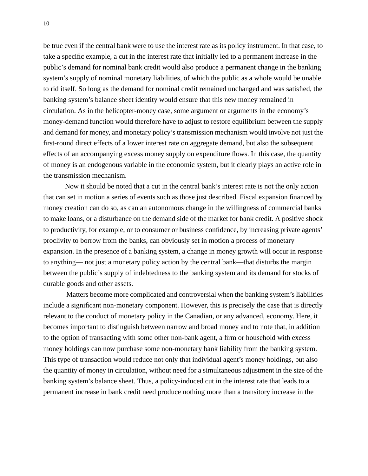be true even if the central bank were to use the interest rate as its policy instrument. In that case, to take a specific example, a cut in the interest rate that initially led to a permanent increase in the public's demand for nominal bank credit would also produce a permanent change in the banking system's supply of nominal monetary liabilities, of which the public as a whole would be unable to rid itself. So long as the demand for nominal credit remained unchanged and was satisfied, the banking system's balance sheet identity would ensure that this new money remained in circulation. As in the helicopter-money case, some argument or arguments in the economy's money-demand function would therefore have to adjust to restore equilibrium between the supply and demand for money, and monetary policy's transmission mechanism would involve not just the first-round direct effects of a lower interest rate on aggregate demand, but also the subsequent effects of an accompanying excess money supply on expenditure flows. In this case, the quantity of money is an endogenous variable in the economic system, but it clearly plays an active role in the transmission mechanism.

Now it should be noted that a cut in the central bank's interest rate is not the only action that can set in motion a series of events such as those just described. Fiscal expansion financed by money creation can do so, as can an autonomous change in the willingness of commercial banks to make loans, or a disturbance on the demand side of the market for bank credit. A positive shock to productivity, for example, or to consumer or business confidence, by increasing private agents' proclivity to borrow from the banks, can obviously set in motion a process of monetary expansion. In the presence of a banking system, a change in money growth will occur in response to anything— not just a monetary policy action by the central bank—that disturbs the margin between the public's supply of indebtedness to the banking system and its demand for stocks of durable goods and other assets.

Matters become more complicated and controversial when the banking system's liabilities include a significant non-monetary component. However, this is precisely the case that is directly relevant to the conduct of monetary policy in the Canadian, or any advanced, economy. Here, it becomes important to distinguish between narrow and broad money and to note that, in addition to the option of transacting with some other non-bank agent, a firm or household with excess money holdings can now purchase some non-monetary bank liability from the banking system. This type of transaction would reduce not only that individual agent's money holdings, but also the quantity of money in circulation, without need for a simultaneous adjustment in the size of the banking system's balance sheet. Thus, a policy-induced cut in the interest rate that leads to a permanent increase in bank credit need produce nothing more than a transitory increase in the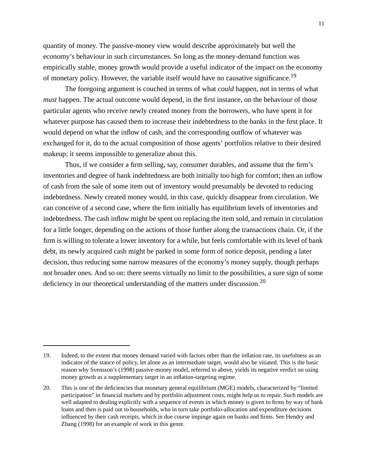quantity of money. The passive-money view would describe approximately but well the economy's behaviour in such circumstances. So long as the money-demand function was empirically stable, money growth would provide a useful indicator of the impact on the economy of monetary policy. However, the variable itself would have no causative significance.<sup>19</sup>

The foregoing argument is couched in terms of what *could* happen, not in terms of what *must* happen. The actual outcome would depend, in the first instance, on the behaviour of those particular agents who receive newly created money from the borrowers, who have spent it for whatever purpose has caused them to increase their indebtedness to the banks in the first place. It would depend on what the inflow of cash, and the corresponding outflow of whatever was exchanged for it, do to the actual composition of those agents' portfolios relative to their desired makeup; it seems impossible to generalize about this.

Thus, if we consider a firm selling, say, consumer durables, and assume that the firm's inventories and degree of bank indebtedness are both initially too high for comfort; then an inflow of cash from the sale of some item out of inventory would presumably be devoted to reducing indebtedness. Newly created money would, in this case, quickly disappear from circulation. We can conceive of a second case, where the firm initially has equilibrium levels of inventories and indebtedness. The cash inflow might be spent on replacing the item sold, and remain in circulation for a little longer, depending on the actions of those further along the transactions chain. Or, if the firm is willing to tolerate a lower inventory for a while, but feels comfortable with its level of bank debt, its newly acquired cash might be parked in some form of notice deposit, pending a later decision, thus reducing some narrow measures of the economy's money supply, though perhaps not broader ones. And so on: there seems virtually no limit to the possibilities, a sure sign of some deficiency in our theoretical understanding of the matters under discussion.20

<sup>19.</sup> Indeed, to the extent that money demand varied with factors other than the inflation rate, its usefulness as an indicator of the stance of policy, let alone as an intermediate target, would also be vitiated. This is the basic reason why Svensson's (1998) passive-money model, referred to above, yields its negative verdict on using money growth as a supplementary target in an inflation-targeting regime.

<sup>20.</sup> This is one of the deficiencies that monetary general equilibrium (MGE) models, characterized by "limited participation" in financial markets and by portfolio adjustment costs, might help us to repair. Such models are well adapted to dealing explicitly with a sequence of events in which money is given to firms by way of bank loans and then is paid out to households, who in turn take portfolio-allocation and expenditure decisions influenced by their cash receipts, which in due course impinge again on banks and firms. See Hendry and Zhang (1998) for an example of work in this genre.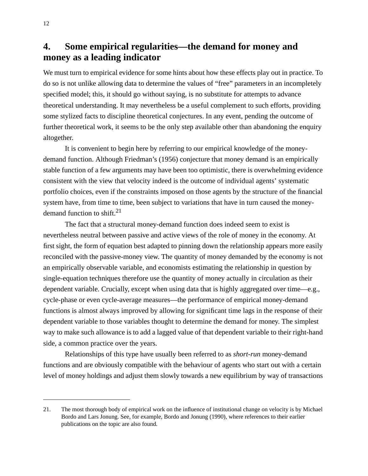### **4. Some empirical regularities—the demand for money and money as a leading indicator**

We must turn to empirical evidence for some hints about how these effects play out in practice. To do so is not unlike allowing data to determine the values of "free" parameters in an incompletely specified model; this, it should go without saying, is no substitute for attempts to advance theoretical understanding. It may nevertheless be a useful complement to such efforts, providing some stylized facts to discipline theoretical conjectures. In any event, pending the outcome of further theoretical work, it seems to be the only step available other than abandoning the enquiry altogether.

It is convenient to begin here by referring to our empirical knowledge of the moneydemand function. Although Friedman's (1956) conjecture that money demand is an empirically stable function of a few arguments may have been too optimistic, there is overwhelming evidence consistent with the view that velocity indeed is the outcome of individual agents' systematic portfolio choices, even if the constraints imposed on those agents by the structure of the financial system have, from time to time, been subject to variations that have in turn caused the moneydemand function to shift. $2<sup>1</sup>$ 

The fact that a structural money-demand function does indeed seem to exist is nevertheless neutral between passive and active views of the role of money in the economy. At first sight, the form of equation best adapted to pinning down the relationship appears more easily reconciled with the passive-money view. The quantity of money demanded by the economy is not an empirically observable variable, and economists estimating the relationship in question by single-equation techniques therefore use the quantity of money actually in circulation as their dependent variable. Crucially, except when using data that is highly aggregated over time—e.g., cycle-phase or even cycle-average measures—the performance of empirical money-demand functions is almost always improved by allowing for significant time lags in the response of their dependent variable to those variables thought to determine the demand for money. The simplest way to make such allowance is to add a lagged value of that dependent variable to their right-hand side, a common practice over the years.

Relationships of this type have usually been referred to as *short-run* money-demand functions and are obviously compatible with the behaviour of agents who start out with a certain level of money holdings and adjust them slowly towards a new equilibrium by way of transactions

<sup>21.</sup> The most thorough body of empirical work on the influence of institutional change on velocity is by Michael Bordo and Lars Jonung. See, for example, Bordo and Jonung (1990), where references to their earlier publications on the topic are also found.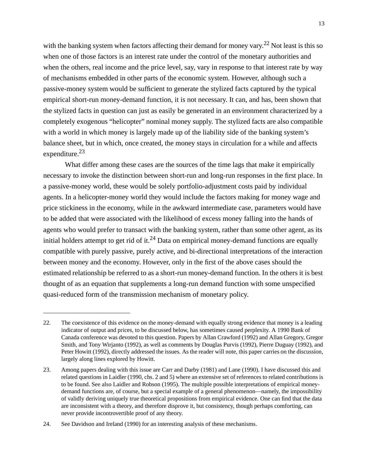with the banking system when factors affecting their demand for money vary.<sup>22</sup> Not least is this so when one of those factors is an interest rate under the control of the monetary authorities and when the others, real income and the price level, say, vary in response to that interest rate by way of mechanisms embedded in other parts of the economic system. However, although such a passive-money system would be sufficient to generate the stylized facts captured by the typical empirical short-run money-demand function, it is not necessary. It can, and has, been shown that the stylized facts in question can just as easily be generated in an environment characterized by a completely exogenous "helicopter" nominal money supply. The stylized facts are also compatible with a world in which money is largely made up of the liability side of the banking system's balance sheet, but in which, once created, the money stays in circulation for a while and affects expenditure.<sup>23</sup>

What differ among these cases are the sources of the time lags that make it empirically necessary to invoke the distinction between short-run and long-run responses in the first place. In a passive-money world, these would be solely portfolio-adjustment costs paid by individual agents. In a helicopter-money world they would include the factors making for money wage and price stickiness in the economy, while in the awkward intermediate case, parameters would have to be added that were associated with the likelihood of excess money falling into the hands of agents who would prefer to transact with the banking system, rather than some other agent, as its initial holders attempt to get rid of it.<sup>24</sup> Data on empirical money-demand functions are equally compatible with purely passive, purely active, and bi-directional interpretations of the interaction between money and the economy. However, only in the first of the above cases should the estimated relationship be referred to as a short-run money-demand function. In the others it is best thought of as an equation that supplements a long-run demand function with some unspecified quasi-reduced form of the transmission mechanism of monetary policy.

<sup>22.</sup> The coexistence of this evidence on the money-demand with equally strong evidence that money is a leading indicator of output and prices, to be discussed below, has sometimes caused perplexity. A 1990 Bank of Canada conference was devoted to this question. Papers by Allan Crawford (1992) and Allan Gregory, Gregor Smith, and Tony Wirjanto (1992), as well as comments by Douglas Purvis (1992), Pierre Duguay (1992), and Peter Howitt (1992), directly addressed the issues. As the reader will note, this paper carries on the discussion, largely along lines explored by Howitt.

<sup>23.</sup> Among papers dealing with this issue are Carr and Darby (1981) and Lane (1990). I have discussed this and related questions in Laidler (1990, chs. 2 and 5) where an extensive set of references to related contributions is to be found. See also Laidler and Robson (1995). The multiple possible interpretations of empirical moneydemand functions are, of course, but a special example of a general phenomenon—namely, the impossibility of validly deriving uniquely true theoretical propositions from empirical evidence. One can find that the data are inconsistent with a theory, and therefore disprove it, but consistency, though perhaps comforting, can never provide incontrovertible proof of any theory.

<sup>24.</sup> See Davidson and Ireland (1990) for an interesting analysis of these mechanisms.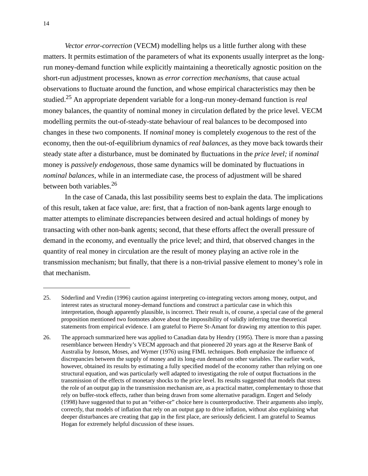*Vector error-correction* (VECM) modelling helps us a little further along with these matters. It permits estimation of the parameters of what its exponents usually interpret as the longrun money-demand function while explicitly maintaining a theoretically agnostic position on the short-run adjustment processes, known as *error correction mechanisms,* that cause actual observations to fluctuate around the function, and whose empirical characteristics may then be studied.25 An appropriate dependent variable for a long-run money-demand function is *real* money balances, the quantity of nominal money in circulation deflated by the price level. VECM modelling permits the out-of-steady-state behaviour of real balances to be decomposed into changes in these two components. If *nominal* money is completely *exogenous* to the rest of the economy, then the out-of-equilibrium dynamics of *real balances,* as they move back towards their steady state after a disturbance, must be dominated by fluctuations in the *price level;* if *nominal* money is *passively endogenous,* those same dynamics will be dominated by fluctuations in *nominal balances,* while in an intermediate case, the process of adjustment will be shared between both variables.<sup>26</sup>

In the case of Canada, this last possibility seems best to explain the data. The implications of this result, taken at face value, are: first, that a fraction of non-bank agents large enough to matter attempts to eliminate discrepancies between desired and actual holdings of money by transacting with other non-bank agents; second, that these efforts affect the overall pressure of demand in the economy, and eventually the price level; and third, that observed changes in the quantity of real money in circulation are the result of money playing an active role in the transmission mechanism; but finally, that there is a non-trivial passive element to money's role in that mechanism.

<sup>25.</sup> Söderlind and Vredin (1996) caution against interpreting co-integrating vectors among money, output, and interest rates as structural money-demand functions and construct a particular case in which this interpretation, though apparently plausible, is incorrect. Their result is, of course, a special case of the general proposition mentioned two footnotes above about the impossibility of validly inferring true theoretical statements from empirical evidence. I am grateful to Pierre St-Amant for drawing my attention to this paper.

<sup>26.</sup> The approach summarized here was applied to Canadian data by Hendry (1995). There is more than a passing resemblance between Hendry's VECM approach and that pioneered 20 years ago at the Reserve Bank of Australia by Jonson, Moses, and Wymer (1976) using FIML techniques. Both emphasize the influence of discrepancies between the supply of money and its long-run demand on other variables. The earlier work, however, obtained its results by estimating a fully specified model of the economy rather than relying on one structural equation, and was particularly well adapted to investigating the role of output fluctuations in the transmission of the effects of monetary shocks to the price level. Its results suggested that models that stress the role of an output gap in the transmission mechanism are, as a practical matter, complementary to those that rely on buffer-stock effects, rather than being drawn from some alternative paradigm. Engert and Selody (1998) have suggested that to put an "either-or" choice here is counterproductive. Their arguments also imply, correctly, that models of inflation that rely on an output gap to drive inflation, without also explaining what deeper disturbances are creating that gap in the first place, are seriously deficient. I am grateful to Seamus Hogan for extremely helpful discussion of these issues.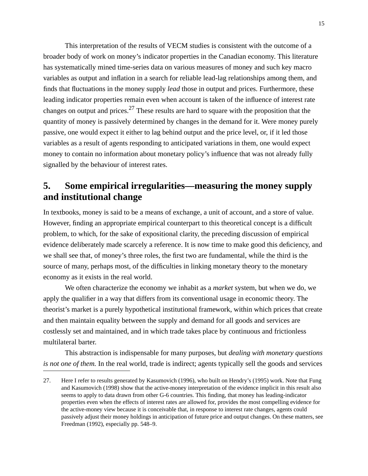This interpretation of the results of VECM studies is consistent with the outcome of a broader body of work on money's indicator properties in the Canadian economy. This literature has systematically mined time-series data on various measures of money and such key macro variables as output and inflation in a search for reliable lead-lag relationships among them, and finds that fluctuations in the money supply *lead* those in output and prices. Furthermore, these leading indicator properties remain even when account is taken of the influence of interest rate changes on output and prices.<sup>27</sup> These results are hard to square with the proposition that the quantity of money is passively determined by changes in the demand for it. Were money purely passive, one would expect it either to lag behind output and the price level, or, if it led those variables as a result of agents responding to anticipated variations in them, one would expect money to contain no information about monetary policy's influence that was not already fully signalled by the behaviour of interest rates.

# **5. Some empirical irregularities—measuring the money supply and institutional change**

In textbooks, money is said to be a means of exchange, a unit of account, and a store of value. However, finding an appropriate empirical counterpart to this theoretical concept is a difficult problem, to which, for the sake of expositional clarity, the preceding discussion of empirical evidence deliberately made scarcely a reference. It is now time to make good this deficiency, and we shall see that, of money's three roles, the first two are fundamental, while the third is the source of many, perhaps most, of the difficulties in linking monetary theory to the monetary economy as it exists in the real world.

We often characterize the economy we inhabit as a *market* system, but when we do, we apply the qualifier in a way that differs from its conventional usage in economic theory. The theorist's market is a purely hypothetical institutional framework, within which prices that create and then maintain equality between the supply and demand for all goods and services are costlessly set and maintained, and in which trade takes place by continuous and frictionless multilateral barter.

This abstraction is indispensable for many purposes, but *dealing with monetary questions is not one of them.* In the real world, trade is indirect; agents typically sell the goods and services

<sup>27.</sup> Here I refer to results generated by Kasumovich (1996), who built on Hendry's (1995) work. Note that Fung and Kasumovich (1998) show that the active-money interpretation of the evidence implicit in this result also seems to apply to data drawn from other G-6 countries. This finding, that money has leading-indicator properties even when the effects of interest rates are allowed for, provides the most compelling evidence for the active-money view because it is conceivable that, in response to interest rate changes, agents could passively adjust their money holdings in anticipation of future price and output changes. On these matters, see Freedman (1992), especially pp. 548–9.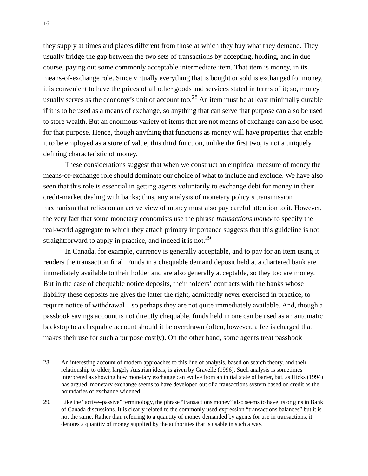they supply at times and places different from those at which they buy what they demand. They usually bridge the gap between the two sets of transactions by accepting, holding, and in due course, paying out some commonly acceptable intermediate item. That item is money, in its means-of-exchange role. Since virtually everything that is bought or sold is exchanged for money, it is convenient to have the prices of all other goods and services stated in terms of it; so, money usually serves as the economy's unit of account too.<sup>28</sup> An item must be at least minimally durable if it is to be used as a means of exchange, so anything that can serve that purpose can also be used to store wealth. But an enormous variety of items that are not means of exchange can also be used for that purpose. Hence, though anything that functions as money will have properties that enable it to be employed as a store of value, this third function, unlike the first two, is not a uniquely defining characteristic of money.

These considerations suggest that when we construct an empirical measure of money the means-of-exchange role should dominate our choice of what to include and exclude. We have also seen that this role is essential in getting agents voluntarily to exchange debt for money in their credit-market dealing with banks; thus, any analysis of monetary policy's transmission mechanism that relies on an active view of money must also pay careful attention to it. However, the very fact that some monetary economists use the phrase *transactions money* to specify the real-world aggregate to which they attach primary importance suggests that this guideline is not straightforward to apply in practice, and indeed it is not.<sup>29</sup>

In Canada, for example, currency is generally acceptable, and to pay for an item using it renders the transaction final. Funds in a chequable demand deposit held at a chartered bank are immediately available to their holder and are also generally acceptable, so they too are money. But in the case of chequable notice deposits, their holders' contracts with the banks whose liability these deposits are gives the latter the right, admittedly never exercised in practice, to require notice of withdrawal—so perhaps they are not quite immediately available. And, though a passbook savings account is not directly chequable, funds held in one can be used as an automatic backstop to a chequable account should it be overdrawn (often, however, a fee is charged that makes their use for such a purpose costly). On the other hand, some agents treat passbook

<sup>28.</sup> An interesting account of modern approaches to this line of analysis, based on search theory, and their relationship to older, largely Austrian ideas, is given by Gravelle (1996). Such analysis is sometimes interpreted as showing how monetary exchange can evolve from an initial state of barter, but, as Hicks (1994) has argued, monetary exchange seems to have developed out of a transactions system based on credit as the boundaries of exchange widened.

<sup>29.</sup> Like the "active–passive" terminology, the phrase "transactions money" also seems to have its origins in Bank of Canada discussions. It is clearly related to the commonly used expression "transactions balances" but it is not the same. Rather than referring to a quantity of money demanded by agents for use in transactions, it denotes a quantity of money supplied by the authorities that is usable in such a way.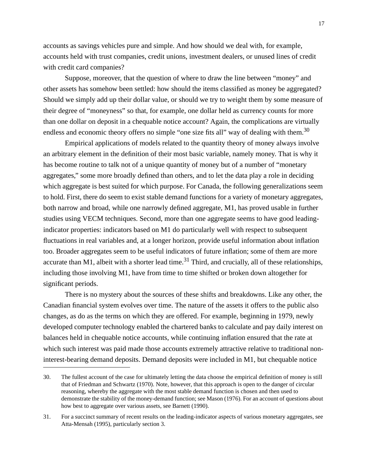accounts as savings vehicles pure and simple. And how should we deal with, for example, accounts held with trust companies, credit unions, investment dealers, or unused lines of credit with credit card companies?

Suppose, moreover, that the question of where to draw the line between "money" and other assets has somehow been settled: how should the items classified as money be aggregated? Should we simply add up their dollar value, or should we try to weight them by some measure of their degree of "moneyness" so that, for example, one dollar held as currency counts for more than one dollar on deposit in a chequable notice account? Again, the complications are virtually endless and economic theory offers no simple "one size fits all" way of dealing with them.<sup>30</sup>

Empirical applications of models related to the quantity theory of money always involve an arbitrary element in the definition of their most basic variable, namely money. That is why it has become routine to talk not of a unique quantity of money but of a number of "monetary aggregates," some more broadly defined than others, and to let the data play a role in deciding which aggregate is best suited for which purpose. For Canada, the following generalizations seem to hold. First, there do seem to exist stable demand functions for a variety of monetary aggregates, both narrow and broad, while one narrowly defined aggregate, M1, has proved usable in further studies using VECM techniques. Second, more than one aggregate seems to have good leadingindicator properties: indicators based on M1 do particularly well with respect to subsequent fluctuations in real variables and, at a longer horizon, provide useful information about inflation too. Broader aggregates seem to be useful indicators of future inflation; some of them are more accurate than M1, albeit with a shorter lead time.<sup>31</sup> Third, and crucially, all of these relationships, including those involving M1, have from time to time shifted or broken down altogether for significant periods.

There is no mystery about the sources of these shifts and breakdowns. Like any other, the Canadian financial system evolves over time. The nature of the assets it offers to the public also changes, as do as the terms on which they are offered. For example, beginning in 1979, newly developed computer technology enabled the chartered banks to calculate and pay daily interest on balances held in chequable notice accounts, while continuing inflation ensured that the rate at which such interest was paid made those accounts extremely attractive relative to traditional noninterest-bearing demand deposits. Demand deposits were included in M1, but chequable notice

<sup>30.</sup> The fullest account of the case for ultimately letting the data choose the empirical definition of money is still that of Friedman and Schwartz (1970). Note, however, that this approach is open to the danger of circular reasoning, whereby the aggregate with the most stable demand function is chosen and then used to demonstrate the stability of the money-demand function; see Mason (1976). For an account of questions about how best to aggregate over various assets, see Barnett (1990).

<sup>31.</sup> For a succinct summary of recent results on the leading-indicator aspects of various monetary aggregates, see Atta-Mensah (1995), particularly section 3.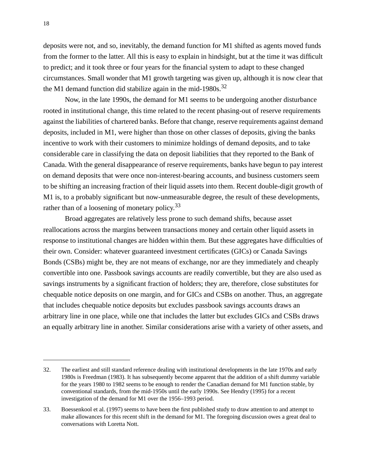deposits were not, and so, inevitably, the demand function for M1 shifted as agents moved funds from the former to the latter. All this is easy to explain in hindsight, but at the time it was difficult to predict; and it took three or four years for the financial system to adapt to these changed circumstances. Small wonder that M1 growth targeting was given up, although it is now clear that the M1 demand function did stabilize again in the mid-1980s.<sup>32</sup>

Now, in the late 1990s, the demand for M1 seems to be undergoing another disturbance rooted in institutional change, this time related to the recent phasing-out of reserve requirements against the liabilities of chartered banks. Before that change, reserve requirements against demand deposits, included in M1, were higher than those on other classes of deposits, giving the banks incentive to work with their customers to minimize holdings of demand deposits, and to take considerable care in classifying the data on deposit liabilities that they reported to the Bank of Canada. With the general disappearance of reserve requirements, banks have begun to pay interest on demand deposits that were once non-interest-bearing accounts, and business customers seem to be shifting an increasing fraction of their liquid assets into them. Recent double-digit growth of M1 is, to a probably significant but now-unmeasurable degree, the result of these developments, rather than of a loosening of monetary policy.  $33$ 

Broad aggregates are relatively less prone to such demand shifts, because asset reallocations across the margins between transactions money and certain other liquid assets in response to institutional changes are hidden within them. But these aggregates have difficulties of their own. Consider: whatever guaranteed investment certificates (GICs) or Canada Savings Bonds (CSBs) might be, they are not means of exchange, nor are they immediately and cheaply convertible into one. Passbook savings accounts are readily convertible, but they are also used as savings instruments by a significant fraction of holders; they are, therefore, close substitutes for chequable notice deposits on one margin, and for GICs and CSBs on another. Thus, an aggregate that includes chequable notice deposits but excludes passbook savings accounts draws an arbitrary line in one place, while one that includes the latter but excludes GICs and CSBs draws an equally arbitrary line in another. Similar considerations arise with a variety of other assets, and

<sup>32.</sup> The earliest and still standard reference dealing with institutional developments in the late 1970s and early 1980s is Freedman (1983). It has subsequently become apparent that the addition of a shift dummy variable for the years 1980 to 1982 seems to be enough to render the Canadian demand for M1 function stable, by conventional standards, from the mid-1950s until the early 1990s. See Hendry (1995) for a recent investigation of the demand for M1 over the 1956–1993 period.

<sup>33.</sup> Boessenkool et al. (1997) seems to have been the first published study to draw attention to and attempt to make allowances for this recent shift in the demand for M1. The foregoing discussion owes a great deal to conversations with Loretta Nott.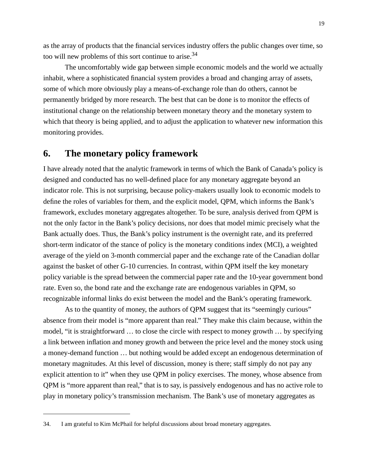as the array of products that the financial services industry offers the public changes over time, so too will new problems of this sort continue to arise.<sup>34</sup>

The uncomfortably wide gap between simple economic models and the world we actually inhabit, where a sophisticated financial system provides a broad and changing array of assets, some of which more obviously play a means-of-exchange role than do others, cannot be permanently bridged by more research. The best that can be done is to monitor the effects of institutional change on the relationship between monetary theory and the monetary system to which that theory is being applied, and to adjust the application to whatever new information this monitoring provides.

#### **6. The monetary policy framework**

I have already noted that the analytic framework in terms of which the Bank of Canada's policy is designed and conducted has no well-defined place for any monetary aggregate beyond an indicator role. This is not surprising, because policy-makers usually look to economic models to define the roles of variables for them, and the explicit model, QPM, which informs the Bank's framework, excludes monetary aggregates altogether. To be sure, analysis derived from QPM is not the only factor in the Bank's policy decisions, nor does that model mimic precisely what the Bank actually does. Thus, the Bank's policy instrument is the overnight rate, and its preferred short-term indicator of the stance of policy is the monetary conditions index (MCI), a weighted average of the yield on 3-month commercial paper and the exchange rate of the Canadian dollar against the basket of other G-10 currencies. In contrast, within QPM itself the key monetary policy variable is the spread between the commercial paper rate and the 10-year government bond rate. Even so, the bond rate and the exchange rate are endogenous variables in QPM, so recognizable informal links do exist between the model and the Bank's operating framework.

As to the quantity of money, the authors of QPM suggest that its "seemingly curious" absence from their model is "more apparent than real." They make this claim because, within the model, "it is straightforward … to close the circle with respect to money growth … by specifying a link between inflation and money growth and between the price level and the money stock using a money-demand function … but nothing would be added except an endogenous determination of monetary magnitudes. At this level of discussion, money is there; staff simply do not pay any explicit attention to it" when they use QPM in policy exercises. The money, whose absence from QPM is "more apparent than real," that is to say, is passively endogenous and has no active role to play in monetary policy's transmission mechanism. The Bank's use of monetary aggregates as

<sup>34.</sup> I am grateful to Kim McPhail for helpful discussions about broad monetary aggregates.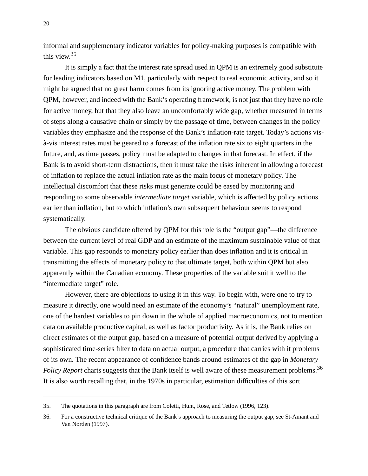informal and supplementary indicator variables for policy-making purposes is compatible with this view.35

It is simply a fact that the interest rate spread used in QPM is an extremely good substitute for leading indicators based on M1, particularly with respect to real economic activity, and so it might be argued that no great harm comes from its ignoring active money. The problem with QPM, however, and indeed with the Bank's operating framework, is not just that they have no role for active money, but that they also leave an uncomfortably wide gap, whether measured in terms of steps along a causative chain or simply by the passage of time, between changes in the policy variables they emphasize and the response of the Bank's inflation-rate target. Today's actions visà-vis interest rates must be geared to a forecast of the inflation rate six to eight quarters in the future, and, as time passes, policy must be adapted to changes in that forecast. In effect, if the Bank is to avoid short-term distractions, then it must take the risks inherent in allowing a forecast of inflation to replace the actual inflation rate as the main focus of monetary policy. The intellectual discomfort that these risks must generate could be eased by monitoring and responding to some observable *intermediate target* variable, which is affected by policy actions earlier than inflation, but to which inflation's own subsequent behaviour seems to respond systematically.

The obvious candidate offered by QPM for this role is the "output gap"—the difference between the current level of real GDP and an estimate of the maximum sustainable value of that variable. This gap responds to monetary policy earlier than does inflation and it is critical in transmitting the effects of monetary policy to that ultimate target, both within QPM but also apparently within the Canadian economy. These properties of the variable suit it well to the "intermediate target" role.

However, there are objections to using it in this way. To begin with, were one to try to measure it directly, one would need an estimate of the economy's "natural" unemployment rate, one of the hardest variables to pin down in the whole of applied macroeconomics, not to mention data on available productive capital, as well as factor productivity. As it is, the Bank relies on direct estimates of the output gap, based on a measure of potential output derived by applying a sophisticated time-series filter to data on actual output, a procedure that carries with it problems of its own. The recent appearance of confidence bands around estimates of the gap in *Monetary Policy Report* charts suggests that the Bank itself is well aware of these measurement problems.<sup>36</sup> It is also worth recalling that, in the 1970s in particular, estimation difficulties of this sort

<sup>35.</sup> The quotations in this paragraph are from Coletti, Hunt, Rose, and Tetlow (1996, 123).

<sup>36.</sup> For a constructive technical critique of the Bank's approach to measuring the output gap, see St-Amant and Van Norden (1997).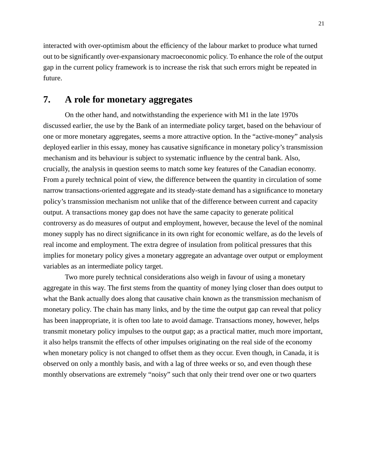interacted with over-optimism about the efficiency of the labour market to produce what turned out to be significantly over-expansionary macroeconomic policy. To enhance the role of the output gap in the current policy framework is to increase the risk that such errors might be repeated in future.

### **7. A role for monetary aggregates**

On the other hand, and notwithstanding the experience with M1 in the late 1970s discussed earlier, the use by the Bank of an intermediate policy target, based on the behaviour of one or more monetary aggregates, seems a more attractive option. In the "active-money" analysis deployed earlier in this essay, money has causative significance in monetary policy's transmission mechanism and its behaviour is subject to systematic influence by the central bank. Also, crucially, the analysis in question seems to match some key features of the Canadian economy. From a purely technical point of view, the difference between the quantity in circulation of some narrow transactions-oriented aggregate and its steady-state demand has a significance to monetary policy's transmission mechanism not unlike that of the difference between current and capacity output. A transactions money gap does not have the same capacity to generate political controversy as do measures of output and employment, however, because the level of the nominal money supply has no direct significance in its own right for economic welfare, as do the levels of real income and employment. The extra degree of insulation from political pressures that this implies for monetary policy gives a monetary aggregate an advantage over output or employment variables as an intermediate policy target.

Two more purely technical considerations also weigh in favour of using a monetary aggregate in this way. The first stems from the quantity of money lying closer than does output to what the Bank actually does along that causative chain known as the transmission mechanism of monetary policy. The chain has many links, and by the time the output gap can reveal that policy has been inappropriate, it is often too late to avoid damage. Transactions money, however, helps transmit monetary policy impulses to the output gap; as a practical matter, much more important, it also helps transmit the effects of other impulses originating on the real side of the economy when monetary policy is not changed to offset them as they occur. Even though, in Canada, it is observed on only a monthly basis, and with a lag of three weeks or so, and even though these monthly observations are extremely "noisy" such that only their trend over one or two quarters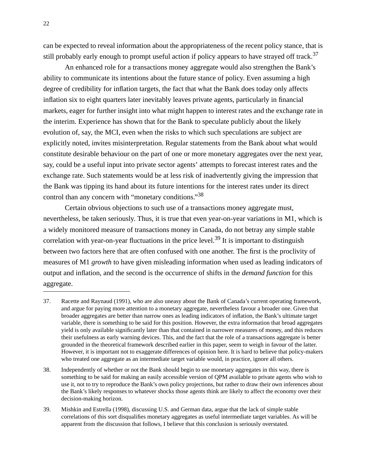can be expected to reveal information about the appropriateness of the recent policy stance, that is still probably early enough to prompt useful action if policy appears to have strayed off track.<sup>37</sup>

An enhanced role for a transactions money aggregate would also strengthen the Bank's ability to communicate its intentions about the future stance of policy. Even assuming a high degree of credibility for inflation targets, the fact that what the Bank does today only affects inflation six to eight quarters later inevitably leaves private agents, particularly in financial markets, eager for further insight into what might happen to interest rates and the exchange rate in the interim. Experience has shown that for the Bank to speculate publicly about the likely evolution of, say, the MCI, even when the risks to which such speculations are subject are explicitly noted, invites misinterpretation. Regular statements from the Bank about what would constitute desirable behaviour on the part of one or more monetary aggregates over the next year, say, could be a useful input into private sector agents' attempts to forecast interest rates and the exchange rate. Such statements would be at less risk of inadvertently giving the impression that the Bank was tipping its hand about its future intentions for the interest rates under its direct control than any concern with "monetary conditions."<sup>38</sup>

Certain obvious objections to such use of a transactions money aggregate must, nevertheless, be taken seriously. Thus, it is true that even year-on-year variations in M1, which is a widely monitored measure of transactions money in Canada, do not betray any simple stable correlation with year-on-year fluctuations in the price level.<sup>39</sup> It is important to distinguish between two factors here that are often confused with one another. The first is the proclivity of measures of M1 *growth* to have given misleading information when used as leading indicators of output and inflation, and the second is the occurrence of shifts in the *demand function* for this aggregate.

<sup>37.</sup> Racette and Raynaud (1991), who are also uneasy about the Bank of Canada's current operating framework, and argue for paying more attention to a monetary aggregate, nevertheless favour a broader one. Given that broader aggregates are better than narrow ones as leading indicators of inflation, the Bank's ultimate target variable, there is something to be said for this position. However, the extra information that broad aggregates yield is only available significantly later than that contained in narrower measures of money, and this reduces their usefulness as early warning devices. This, and the fact that the role of a transactions aggregate is better grounded in the theoretical framework described earlier in this paper, seem to weigh in favour of the latter. However, it is important not to exaggerate differences of opinion here. It is hard to believe that policy-makers who treated one aggregate as an intermediate target variable would, in practice, ignore all others.

<sup>38.</sup> Independently of whether or not the Bank should begin to use monetary aggregates in this way, there is something to be said for making an easily accessible version of QPM available to private agents who wish to use it, not to try to reproduce the Bank's own policy projections, but rather to draw their own inferences about the Bank's likely responses to whatever shocks those agents think are likely to affect the economy over their decision-making horizon.

<sup>39.</sup> Mishkin and Estrella (1998), discussing U.S. and German data, argue that the lack of simple stable correlations of this sort disqualifies monetary aggregates as useful intermediate target variables. As will be apparent from the discussion that follows, I believe that this conclusion is seriously overstated.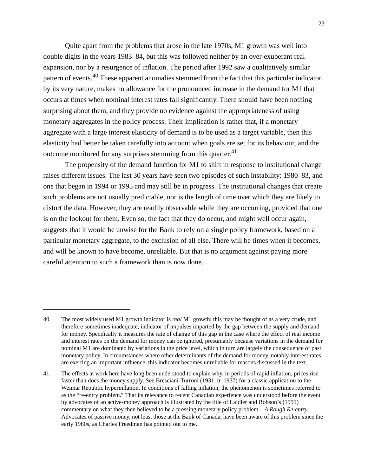Quite apart from the problems that arose in the late 1970s, M1 growth was well into double digits in the years 1983–84, but this was followed neither by an over-exuberant real expansion, nor by a resurgence of inflation. The period after 1992 saw a qualitatively similar pattern of events.40 These apparent anomalies stemmed from the fact that this particular indicator, by its very nature, makes no allowance for the pronounced increase in the demand for M1 that occurs at times when nominal interest rates fall significantly. There should have been nothing surprising about them, and they provide no evidence against the appropriateness of using monetary aggregates in the policy process. Their implication is rather that, if a monetary aggregate with a large interest elasticity of demand is to be used as a target variable, then this elasticity had better be taken carefully into account when goals are set for its behaviour, and the outcome monitored for any surprises stemming from this quarter.<sup>41</sup>

The propensity of the demand function for M1 to shift in response to institutional change raises different issues. The last 30 years have seen two episodes of such instability: 1980–83, and one that began in 1994 or 1995 and may still be in progress. The institutional changes that create such problems are not usually predictable, nor is the length of time over which they are likely to distort the data. However, they are readily observable while they are occurring, provided that one is on the lookout for them. Even so, the fact that they do occur, and might well occur again, suggests that it would be unwise for the Bank to rely on a single policy framework, based on a particular monetary aggregate, to the exclusion of all else. There will be times when it becomes, and will be known to have become, unreliable. But that is no argument against paying more careful attention to such a framework than is now done.

<sup>40.</sup> The most widely used M1 growth indicator is *real* M1 growth; this may be thought of as a very crude, and therefore sometimes inadequate, indicator of impulses imparted by the gap between the supply and demand for money. Specifically it measures the rate of change of this gap in the case where the effect of real income and interest rates on the demand for money can be ignored, presumably because variations in the demand for nominal M1 are dominated by variations in the price level, which in turn are largely the consequence of past monetary policy. In circumstances where other determinants of the demand for money, notably interest rates, are exerting an important influence, this indicator becomes unreliable for reasons discussed in the text.

<sup>41.</sup> The effects at work here have long been understood to explain why, in periods of rapid inflation, prices rise faster than does the money supply. See Bresciani-Turroni (1931, tr. 1937) for a classic application to the Weimar Republic hyperinflation. In conditions of falling inflation, the phenomenon is sometimes referred to as the "re-entry problem." That its relevance to recent Canadian experience was understood before the event by advocates of an active-money approach is illustrated by the title of Laidler and Robson's (1991) commentary on what they then believed to be a pressing monetary policy problem—*A Rough Re-entry.* Advocates of passive money, not least those at the Bank of Canada, have been aware of this problem since the early 1980s, as Charles Freedman has pointed out to me.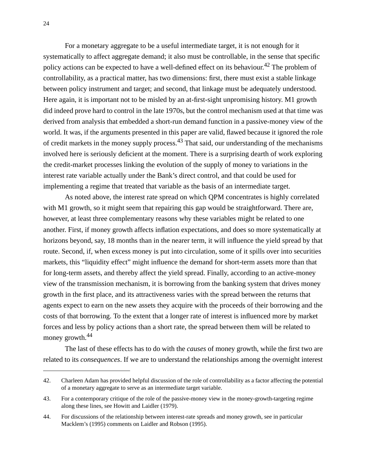For a monetary aggregate to be a useful intermediate target, it is not enough for it systematically to affect aggregate demand; it also must be controllable, in the sense that specific policy actions can be expected to have a well-defined effect on its behaviour.<sup>42</sup> The problem of controllability, as a practical matter, has two dimensions: first, there must exist a stable linkage between policy instrument and target; and second, that linkage must be adequately understood. Here again, it is important not to be misled by an at-first-sight unpromising history. M1 growth did indeed prove hard to control in the late 1970s, but the control mechanism used at that time was derived from analysis that embedded a short-run demand function in a passive-money view of the world. It was, if the arguments presented in this paper are valid, flawed because it ignored the role of credit markets in the money supply process.<sup>43</sup> That said, our understanding of the mechanisms involved here is seriously deficient at the moment. There is a surprising dearth of work exploring the credit-market processes linking the evolution of the supply of money to variations in the interest rate variable actually under the Bank's direct control, and that could be used for implementing a regime that treated that variable as the basis of an intermediate target.

As noted above, the interest rate spread on which QPM concentrates is highly correlated with M1 growth, so it might seem that repairing this gap would be straightforward. There are, however, at least three complementary reasons why these variables might be related to one another. First, if money growth affects inflation expectations, and does so more systematically at horizons beyond, say, 18 months than in the nearer term, it will influence the yield spread by that route. Second, if, when excess money is put into circulation, some of it spills over into securities markets, this "liquidity effect" might influence the demand for short-term assets more than that for long-term assets, and thereby affect the yield spread. Finally, according to an active-money view of the transmission mechanism, it is borrowing from the banking system that drives money growth in the first place, and its attractiveness varies with the spread between the returns that agents expect to earn on the new assets they acquire with the proceeds of their borrowing and the costs of that borrowing. To the extent that a longer rate of interest is influenced more by market forces and less by policy actions than a short rate, the spread between them will be related to money growth.<sup>44</sup>

The last of these effects has to do with the *causes* of money growth, while the first two are related to its *consequences*. If we are to understand the relationships among the overnight interest

<sup>42.</sup> Charleen Adam has provided helpful discussion of the role of controllability as a factor affecting the potential of a monetary aggregate to serve as an intermediate target variable.

<sup>43.</sup> For a contemporary critique of the role of the passive-money view in the money-growth-targeting regime along these lines, see Howitt and Laidler (1979).

<sup>44.</sup> For discussions of the relationship between interest-rate spreads and money growth, see in particular Macklem's (1995) comments on Laidler and Robson (1995).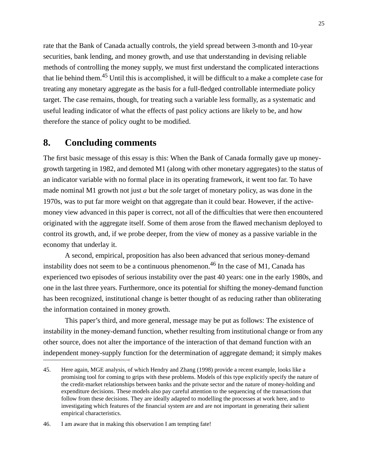rate that the Bank of Canada actually controls, the yield spread between 3-month and 10-year securities, bank lending, and money growth, and use that understanding in devising reliable methods of controlling the money supply, we must first understand the complicated interactions that lie behind them.<sup>45</sup> Until this is accomplished, it will be difficult to a make a complete case for treating any monetary aggregate as the basis for a full-fledged controllable intermediate policy target. The case remains, though, for treating such a variable less formally, as a systematic and useful leading indicator of what the effects of past policy actions are likely to be, and how therefore the stance of policy ought to be modified.

### **8. Concluding comments**

The first basic message of this essay is this: When the Bank of Canada formally gave up moneygrowth targeting in 1982, and demoted M1 (along with other monetary aggregates) to the status of an indicator variable with no formal place in its operating framework, it went too far. To have made nominal M1 growth not just *a* but *the sole* target of monetary policy, as was done in the 1970s, was to put far more weight on that aggregate than it could bear. However, if the activemoney view advanced in this paper is correct, not all of the difficulties that were then encountered originated with the aggregate itself. Some of them arose from the flawed mechanism deployed to control its growth, and, if we probe deeper, from the view of money as a passive variable in the economy that underlay it.

A second, empirical, proposition has also been advanced that serious money-demand instability does not seem to be a continuous phenomenon.<sup>46</sup> In the case of M1, Canada has experienced two episodes of serious instability over the past 40 years: one in the early 1980s, and one in the last three years. Furthermore, once its potential for shifting the money-demand function has been recognized, institutional change is better thought of as reducing rather than obliterating the information contained in money growth.

This paper's third, and more general, message may be put as follows: The existence of instability in the money-demand function, whether resulting from institutional change or from any other source, does not alter the importance of the interaction of that demand function with an independent money-supply function for the determination of aggregate demand; it simply makes

<sup>45.</sup> Here again, MGE analysis, of which Hendry and Zhang (1998) provide a recent example, looks like a promising tool for coming to grips with these problems. Models of this type explicitly specify the nature of the credit-market relationships between banks and the private sector and the nature of money-holding and expenditure decisions. These models also pay careful attention to the sequencing of the transactions that follow from these decisions. They are ideally adapted to modelling the processes at work here, and to investigating which features of the financial system are and are not important in generating their salient empirical characteristics.

<sup>46.</sup> I am aware that in making this observation I am tempting fate!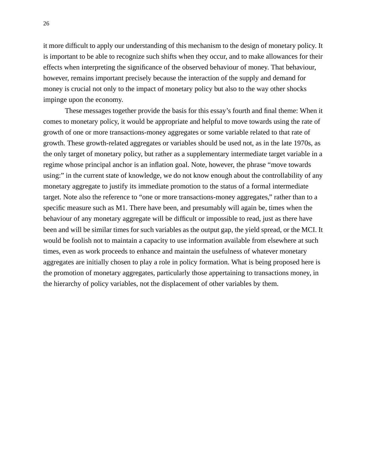it more difficult to apply our understanding of this mechanism to the design of monetary policy. It is important to be able to recognize such shifts when they occur, and to make allowances for their effects when interpreting the significance of the observed behaviour of money. That behaviour, however, remains important precisely because the interaction of the supply and demand for money is crucial not only to the impact of monetary policy but also to the way other shocks impinge upon the economy.

These messages together provide the basis for this essay's fourth and final theme: When it comes to monetary policy, it would be appropriate and helpful to move towards using the rate of growth of one or more transactions-money aggregates or some variable related to that rate of growth. These growth-related aggregates or variables should be used not, as in the late 1970s, as the only target of monetary policy, but rather as a supplementary intermediate target variable in a regime whose principal anchor is an inflation goal. Note, however, the phrase "move towards using:" in the current state of knowledge, we do not know enough about the controllability of any monetary aggregate to justify its immediate promotion to the status of a formal intermediate target. Note also the reference to "one or more transactions-money aggregates," rather than to a specific measure such as M1. There have been, and presumably will again be, times when the behaviour of any monetary aggregate will be difficult or impossible to read, just as there have been and will be similar times for such variables as the output gap, the yield spread, or the MCI. It would be foolish not to maintain a capacity to use information available from elsewhere at such times, even as work proceeds to enhance and maintain the usefulness of whatever monetary aggregates are initially chosen to play a role in policy formation. What is being proposed here is the promotion of monetary aggregates, particularly those appertaining to transactions money, in the hierarchy of policy variables, not the displacement of other variables by them.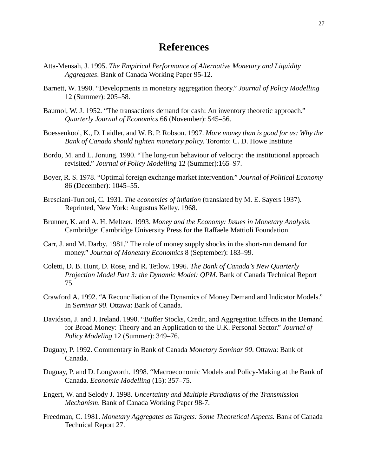### **References**

- Atta-Mensah, J. 1995. *The Empirical Performance of Alternative Monetary and Liquidity Aggregates*. Bank of Canada Working Paper 95-12.
- Barnett, W. 1990. "Developments in monetary aggregation theory." *Journal of Policy Modelling* 12 (Summer): 205–58*.*
- Baumol, W. J. 1952. "The transactions demand for cash: An inventory theoretic approach." *Quarterly Journal of Economics* 66 (November): 545–56.
- Boessenkool, K., D. Laidler, and W. B. P. Robson. 1997. *More money than is good for us: Why the Bank of Canada should tighten monetary policy.* Toronto: C. D. Howe Institute
- Bordo, M. and L. Jonung. 1990. "The long-run behaviour of velocity: the institutional approach revisited." *Journal of Policy Modelling* 12 (Summer):165–97.
- Boyer, R. S. 1978. "Optimal foreign exchange market intervention*.*" *Journal of Political Economy* 86 (December): 1045–55.
- Bresciani-Turroni, C. 1931. *The economics of inflation* (translated by M. E. Sayers 1937). Reprinted, New York: Augustus Kelley. 1968.
- Brunner, K. and A. H. Meltzer. 1993. *Money and the Economy: Issues in Monetary Analysis.* Cambridge: Cambridge University Press for the Raffaele Mattioli Foundation.
- Carr, J. and M. Darby. 1981." The role of money supply shocks in the short-run demand for money." *Journal of Monetary Economics* 8 (September): 183–99.
- Coletti, D. B. Hunt, D. Rose, and R. Tetlow. 1996. *The Bank of Canada's New Quarterly Projection Model Part 3: the Dynamic Model: QPM.* Bank of Canada Technical Report 75.
- Crawford A. 1992. "A Reconciliation of the Dynamics of Money Demand and Indicator Models." In S*eminar 90.* Ottawa: Bank of Canada.
- Davidson, J. and J. Ireland. 1990. "Buffer Stocks, Credit, and Aggregation Effects in the Demand for Broad Money: Theory and an Application to the U.K. Personal Sector." *Journal of Policy Modeling* 12 (Summer): 349–76.
- Duguay, P. 1992. Commentary in Bank of Canada *Monetary Seminar 90*. Ottawa: Bank of Canada.
- Duguay, P. and D. Longworth. 1998. "Macroeconomic Models and Policy-Making at the Bank of Canada. *Economic Modelling* (15): 357–75.
- Engert, W. and Selody J. 1998. *Uncertainty and Multiple Paradigms of the Transmission Mechanism*. Bank of Canada Working Paper 98-7.
- Freedman, C. 1981. *Monetary Aggregates as Targets: Some Theoretical Aspects.* Bank of Canada Technical Report 27.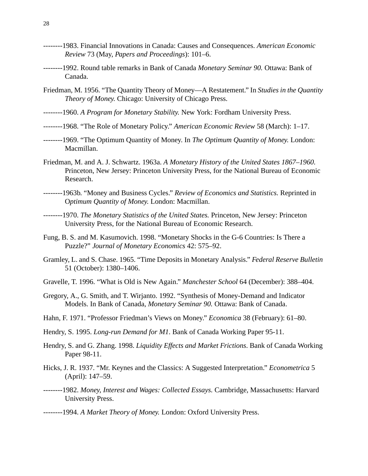- --------1983. Financial Innovations in Canada: Causes and Consequences. *American Economic Review* 73 (May, *Papers and Proceedings*): 101–6.
- --------1992. Round table remarks in Bank of Canada *Monetary Seminar 90.* Ottawa: Bank of Canada.
- Friedman, M. 1956. "The Quantity Theory of Money—A Restatement." In *Studies in the Quantity Theory of Money.* Chicago: University of Chicago Press.
- --------1960. *A Program for Monetary Stability.* New York: Fordham University Press.
- --------1968. "The Role of Monetary Policy." *American Economic Review* 58 (March): 1–17.
- --------1969. "The Optimum Quantity of Money. In *The Optimum Quantity of Money.* London: Macmillan.
- Friedman, M. and A. J. Schwartz. 1963a. *A Monetary History of the United States 1867–1960.* Princeton, New Jersey: Princeton University Press, for the National Bureau of Economic Research.
- --------1963b. "Money and Business Cycles." *Review of Economics and Statistics.* Reprinted in O*ptimum Quantity of Money.* London: Macmillan.
- --------1970. *The Monetary Statistics of the United States.* Princeton, New Jersey: Princeton University Press, for the National Bureau of Economic Research.
- Fung, B. S. and M. Kasumovich. 1998. "Monetary Shocks in the G-6 Countries: Is There a Puzzle?" *Journal of Monetary Economics* 42: 575–92.
- Gramley, L. and S. Chase. 1965. "Time Deposits in Monetary Analysis." *Federal Reserve Bulletin* 51 (October): 1380–1406.
- Gravelle, T. 1996. "What is Old is New Again." *Manchester School* 64 (December): 388–404.
- Gregory, A., G. Smith, and T. Wirjanto. 1992. "Synthesis of Money-Demand and Indicator Models. In Bank of Canada, *Monetary Seminar 90.* Ottawa: Bank of Canada.
- Hahn, F. 1971. "Professor Friedman's Views on Money." *Economica* 38 (February): 61–80.
- Hendry, S. 1995. *Long-run Demand for M1*. Bank of Canada Working Paper 95-11.
- Hendry, S. and G. Zhang. 1998. *Liquidity Effects and Market Frictions*. Bank of Canada Working Paper 98-11.
- Hicks, J. R. 1937. "Mr. Keynes and the Classics: A Suggested Interpretation." *Econometrica* 5 (April): 147–59.
- --------1982. *Money, Interest and Wages: Collected Essays.* Cambridge, Massachusetts: Harvard University Press.
- --------1994. *A Market Theory of Money.* London: Oxford University Press.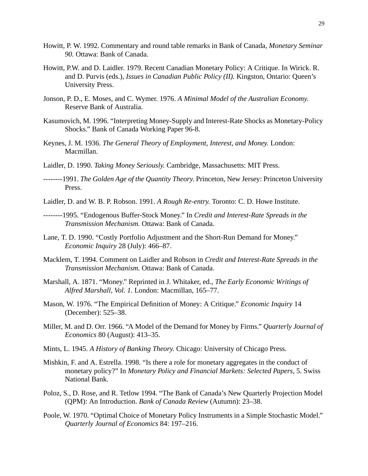- Howitt, P. W. 1992. Commentary and round table remarks in Bank of Canada, *Monetary Seminar 90.* Ottawa: Bank of Canada.
- Howitt, P.W. and D. Laidler. 1979. Recent Canadian Monetary Policy: A Critique. In Wirick. R. and D. Purvis (eds.), *Issues in Canadian Public Policy (II).* Kingston, Ontario: Queen's University Press.
- Jonson, P. D., E. Moses, and C. Wymer. 1976. *A Minimal Model of the Australian Economy*. Reserve Bank of Australia.
- Kasumovich, M. 1996. "Interpreting Money-Supply and Interest-Rate Shocks as Monetary-Policy Shocks." Bank of Canada Working Paper 96-8.
- Keynes, J. M. 1936. *The General Theory of Employment, Interest, and Money.* London: Macmillan.
- Laidler, D. 1990. *Taking Money Seriously.* Cambridge, Massachusetts: MIT Press.
- --------1991. *The Golden Age of the Quantity Theory.* Princeton, New Jersey: Princeton University Press.
- Laidler, D. and W. B. P. Robson. 1991. *A Rough Re-entry.* Toronto: C. D. Howe Institute.
- --------1995. "Endogenous Buffer-Stock Money." In *Credit and Interest-Rate Spreads in the Transmission Mechanism.* Ottawa: Bank of Canada.
- Lane, T. D. 1990. "Costly Portfolio Adjustment and the Short-Run Demand for Money." *Economic Inquiry* 28 (July): 466–87.
- Macklem, T. 1994. Comment on Laidler and Robson in *Credit and Interest-Rate Spreads in the Transmission Mechanism.* Ottawa: Bank of Canada.
- Marshall, A. 1871. "Money." Reprinted in J. Whitaker, ed., *The Early Economic Writings of Alfred Marshall, Vol. 1.* London: Macmillan, 165–77.
- Mason, W. 1976. "The Empirical Definition of Money: A Critique." *Economic Inquiry* 14 (December): 525–38.
- Miller, M. and D. Orr. 1966. "A Model of the Demand for Money by Firms." *Quarterly Journal of Economics* 80 (August): 413–35.
- Mints, L. 1945. *A History of Banking Theory.* Chicago: University of Chicago Press.
- Mishkin, F. and A. Estrella. 1998. "Is there a role for monetary aggregates in the conduct of monetary policy?" In *Monetary Policy and Financial Markets: Selected Papers,* 5. Swiss National Bank.
- Poloz, S., D. Rose, and R. Tetlow 1994. "The Bank of Canada's New Quarterly Projection Model (QPM): An Introduction. *Bank of Canada Review* (Autumn): 23–38.
- Poole, W. 1970. "Optimal Choice of Monetary Policy Instruments in a Simple Stochastic Model." *Quarterly Journal of Economics* 84: 197–216.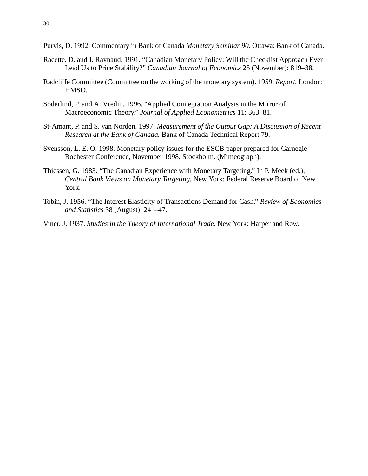- Purvis, D. 1992. Commentary in Bank of Canada *Monetary Seminar 90.* Ottawa: Bank of Canada.
- Racette, D. and J. Raynaud. 1991. "Canadian Monetary Policy: Will the Checklist Approach Ever Lead Us to Price Stability?" *Canadian Journal of Economics* 25 (November): 819–38.
- Radcliffe Committee (Committee on the working of the monetary system). 1959. *Report.* London: HMSO.
- Söderlind, P. and A. Vredin. 1996. "Applied Cointegration Analysis in the Mirror of Macroeconomic Theory." *Journal of Applied Econometrics* 11: 363–81.
- St-Amant, P. and S. van Norden. 1997. *Measurement of the Output Gap: A Discussion of Recent Research at the Bank of Canada.* Bank of Canada Technical Report 79.
- Svensson, L. E. O. 1998. Monetary policy issues for the ESCB paper prepared for Carnegie-Rochester Conference, November 1998, Stockholm. (Mimeograph).
- Thiessen, G. 1983. "The Canadian Experience with Monetary Targeting." In P. Meek (ed.), *Central Bank Views on Monetary Targeting.* New York: Federal Reserve Board of New York.
- Tobin, J. 1956. "The Interest Elasticity of Transactions Demand for Cash." *Review of Economics and Statistics* 38 (August): 241–47.
- Viner, J. 1937. *Studies in the Theory of International Trade*. New York: Harper and Row.